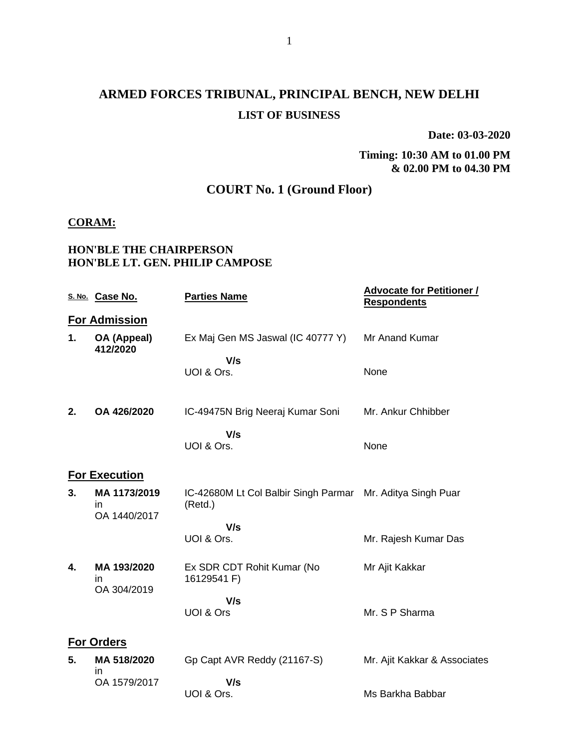# **ARMED FORCES TRIBUNAL, PRINCIPAL BENCH, NEW DELHI LIST OF BUSINESS**

**Date: 03-03-2020**

**Timing: 10:30 AM to 01.00 PM & 02.00 PM to 04.30 PM**

## **COURT No. 1 (Ground Floor)**

#### **CORAM:**

### **HON'BLE THE CHAIRPERSON HON'BLE LT. GEN. PHILIP CAMPOSE**

|    | S. No. Case No.                     | <b>Parties Name</b>                             | <b>Advocate for Petitioner /</b><br><b>Respondents</b> |
|----|-------------------------------------|-------------------------------------------------|--------------------------------------------------------|
|    | <b>For Admission</b>                |                                                 |                                                        |
| 1. | OA (Appeal)<br>412/2020             | Ex Maj Gen MS Jaswal (IC 40777 Y)               | Mr Anand Kumar                                         |
|    |                                     | V/s<br>UOI & Ors.                               | None                                                   |
| 2. | OA 426/2020                         | IC-49475N Brig Neeraj Kumar Soni                | Mr. Ankur Chhibber                                     |
|    |                                     | V/s<br>UOI & Ors.                               | None                                                   |
|    | For Execution                       |                                                 |                                                        |
| 3. | MA 1173/2019<br>in.<br>OA 1440/2017 | IC-42680M Lt Col Balbir Singh Parmar<br>(Retd.) | Mr. Aditya Singh Puar                                  |
|    |                                     | V/s                                             |                                                        |
|    |                                     | UOI & Ors.                                      | Mr. Rajesh Kumar Das                                   |
| 4. | MA 193/2020<br>in<br>OA 304/2019    | Ex SDR CDT Rohit Kumar (No<br>16129541 F)       | Mr Ajit Kakkar                                         |
|    |                                     | V/s<br>UOI & Ors                                | Mr. S P Sharma                                         |
|    | <b>For Orders</b>                   |                                                 |                                                        |
| 5. | MA 518/2020<br>ın                   | Gp Capt AVR Reddy (21167-S)                     | Mr. Ajit Kakkar & Associates                           |
|    | OA 1579/2017                        | V/s                                             |                                                        |
|    |                                     | UOI & Ors.                                      | Ms Barkha Babbar                                       |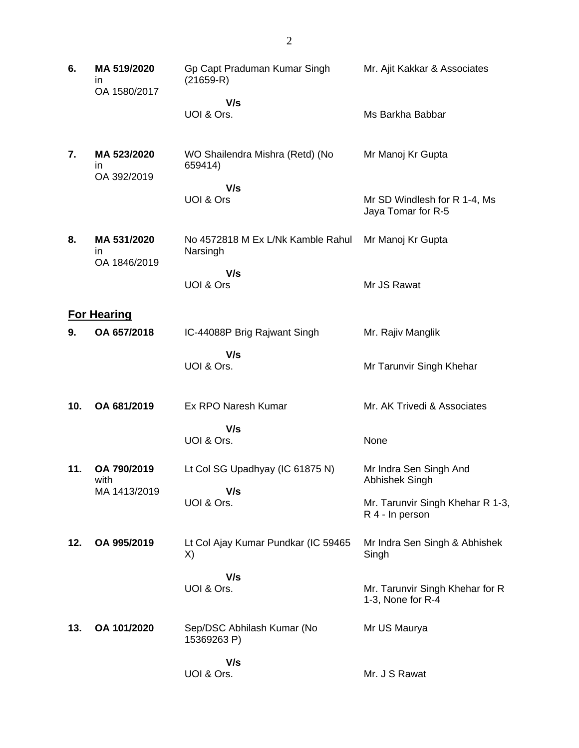| 6.  | MA 519/2020<br>in<br>OA 1580/2017 | Gp Capt Praduman Kumar Singh<br>$(21659-R)$   | Mr. Ajit Kakkar & Associates                         |
|-----|-----------------------------------|-----------------------------------------------|------------------------------------------------------|
|     |                                   | V/s                                           |                                                      |
|     |                                   | UOI & Ors.                                    | Ms Barkha Babbar                                     |
| 7.  | MA 523/2020<br>in<br>OA 392/2019  | WO Shailendra Mishra (Retd) (No<br>659414)    | Mr Manoj Kr Gupta                                    |
|     |                                   | V/s                                           |                                                      |
|     |                                   | UOI & Ors                                     | Mr SD Windlesh for R 1-4, Ms<br>Jaya Tomar for R-5   |
| 8.  | MA 531/2020<br>in                 | No 4572818 M Ex L/Nk Kamble Rahul<br>Narsingh | Mr Manoj Kr Gupta                                    |
|     | OA 1846/2019                      | V/s                                           |                                                      |
|     |                                   | UOI & Ors                                     | Mr JS Rawat                                          |
|     | <b>For Hearing</b>                |                                               |                                                      |
| 9.  | OA 657/2018                       | IC-44088P Brig Rajwant Singh                  | Mr. Rajiv Manglik                                    |
|     |                                   | V/s                                           |                                                      |
|     |                                   | UOI & Ors.                                    | Mr Tarunvir Singh Khehar                             |
| 10. | OA 681/2019                       | Ex RPO Naresh Kumar                           | Mr. AK Trivedi & Associates                          |
|     |                                   | V/s                                           |                                                      |
|     |                                   | UOI & Ors.                                    | None                                                 |
| 11. | OA 790/2019<br>with               | Lt Col SG Upadhyay (IC 61875 N)               | Mr Indra Sen Singh And<br>Abhishek Singh             |
|     | MA 1413/2019                      | V/s                                           |                                                      |
|     |                                   | UOI & Ors.                                    | Mr. Tarunvir Singh Khehar R 1-3,<br>R 4 - In person  |
| 12. | OA 995/2019                       | Lt Col Ajay Kumar Pundkar (IC 59465<br>X)     | Mr Indra Sen Singh & Abhishek<br>Singh               |
|     |                                   | V/s                                           |                                                      |
|     |                                   | UOI & Ors.                                    | Mr. Tarunvir Singh Khehar for R<br>1-3, None for R-4 |
| 13. | OA 101/2020                       | Sep/DSC Abhilash Kumar (No<br>15369263 P)     | Mr US Maurya                                         |
|     |                                   | V/s                                           |                                                      |
|     |                                   | UOI & Ors.                                    | Mr. J S Rawat                                        |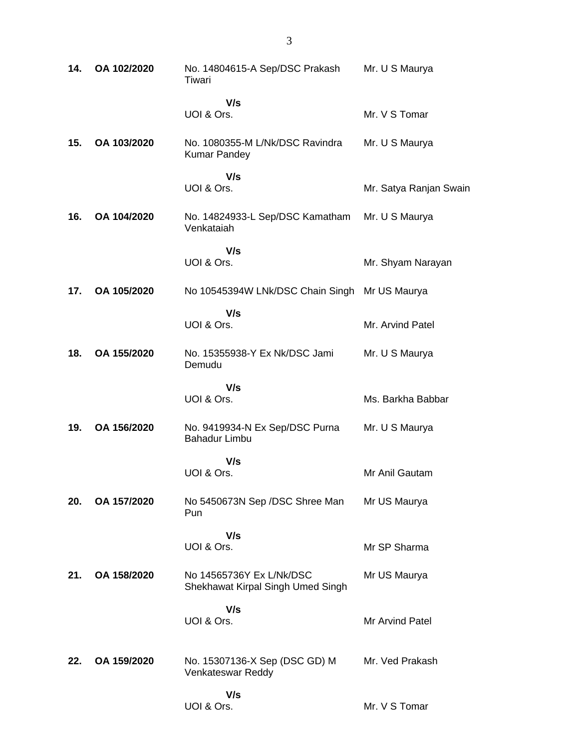| 14. | OA 102/2020 | No. 14804615-A Sep/DSC Prakash<br>Tiwari                      | Mr. U S Maurya         |
|-----|-------------|---------------------------------------------------------------|------------------------|
|     |             | V/s<br>UOI & Ors.                                             | Mr. V S Tomar          |
| 15. | OA 103/2020 | No. 1080355-M L/Nk/DSC Ravindra<br><b>Kumar Pandey</b>        | Mr. U S Maurya         |
|     |             | V/s<br>UOI & Ors.                                             | Mr. Satya Ranjan Swain |
| 16. | OA 104/2020 | No. 14824933-L Sep/DSC Kamatham Mr. U S Maurya<br>Venkataiah  |                        |
|     |             | V/s<br>UOI & Ors.                                             | Mr. Shyam Narayan      |
| 17. | OA 105/2020 | No 10545394W LNk/DSC Chain Singh Mr US Maurya                 |                        |
|     |             | V/s<br>UOI & Ors.                                             | Mr. Arvind Patel       |
| 18. | OA 155/2020 | No. 15355938-Y Ex Nk/DSC Jami<br>Demudu                       | Mr. U S Maurya         |
|     |             | V/s<br>UOI & Ors.                                             | Ms. Barkha Babbar      |
| 19. | OA 156/2020 | No. 9419934-N Ex Sep/DSC Purna<br><b>Bahadur Limbu</b>        | Mr. U S Maurya         |
|     |             | V/s<br>UOI & Ors.                                             | Mr Anil Gautam         |
| 20. | OA 157/2020 | No 5450673N Sep /DSC Shree Man<br>Pun                         | Mr US Maurya           |
|     |             | V/s<br>UOI & Ors.                                             | Mr SP Sharma           |
| 21. | OA 158/2020 | No 14565736Y Ex L/Nk/DSC<br>Shekhawat Kirpal Singh Umed Singh | Mr US Maurya           |
|     |             | V/s<br>UOI & Ors.                                             | Mr Arvind Patel        |
| 22. | OA 159/2020 | No. 15307136-X Sep (DSC GD) M<br>Venkateswar Reddy            | Mr. Ved Prakash        |
|     |             | V/s<br>UOI & Ors.                                             | Mr. V S Tomar          |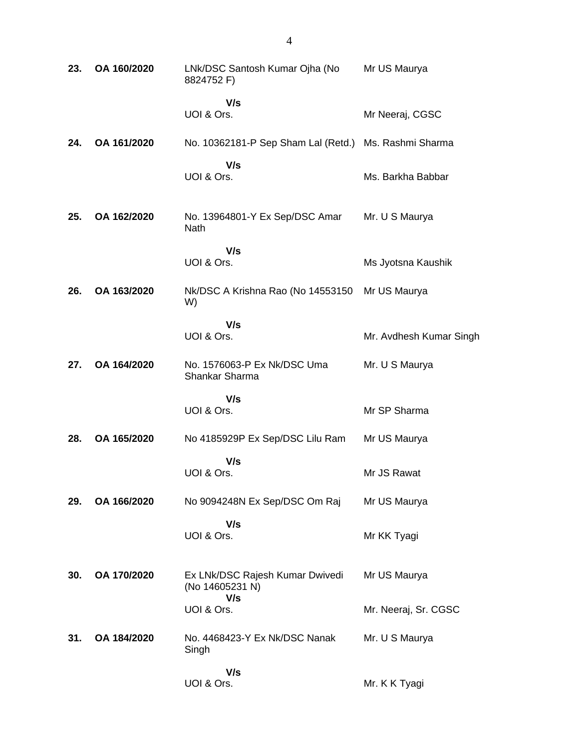| 23. | OA 160/2020 | LNk/DSC Santosh Kumar Ojha (No<br>8824752 F)              | Mr US Maurya            |
|-----|-------------|-----------------------------------------------------------|-------------------------|
|     |             | V/s<br>UOI & Ors.                                         | Mr Neeraj, CGSC         |
| 24. | OA 161/2020 | No. 10362181-P Sep Sham Lal (Retd.)                       | Ms. Rashmi Sharma       |
|     |             | V/s<br>UOI & Ors.                                         | Ms. Barkha Babbar       |
| 25. | OA 162/2020 | No. 13964801-Y Ex Sep/DSC Amar<br><b>Nath</b>             | Mr. U S Maurya          |
|     |             | V/s<br>UOI & Ors.                                         | Ms Jyotsna Kaushik      |
| 26. | OA 163/2020 | Nk/DSC A Krishna Rao (No 14553150<br>W)                   | Mr US Maurya            |
|     |             | V/s<br>UOI & Ors.                                         | Mr. Avdhesh Kumar Singh |
| 27. | OA 164/2020 | No. 1576063-P Ex Nk/DSC Uma<br>Shankar Sharma             | Mr. U S Maurya          |
|     |             | V/s<br>UOI & Ors.                                         | Mr SP Sharma            |
| 28. | OA 165/2020 | No 4185929P Ex Sep/DSC Lilu Ram                           | Mr US Maurya            |
|     |             | V/s<br>UOI & Ors.                                         | Mr JS Rawat             |
| 29. | OA 166/2020 | No 9094248N Ex Sep/DSC Om Raj                             | Mr US Maurya            |
|     |             | V/s<br>UOI & Ors.                                         | Mr KK Tyagi             |
| 30. | OA 170/2020 | Ex LNk/DSC Rajesh Kumar Dwivedi<br>(No 14605231 N)<br>V/s | Mr US Maurya            |
|     |             | UOI & Ors.                                                | Mr. Neeraj, Sr. CGSC    |
| 31. | OA 184/2020 | No. 4468423-Y Ex Nk/DSC Nanak<br>Singh                    | Mr. U S Maurya          |
|     |             | V/s<br>UOI & Ors.                                         | Mr. K K Tyagi           |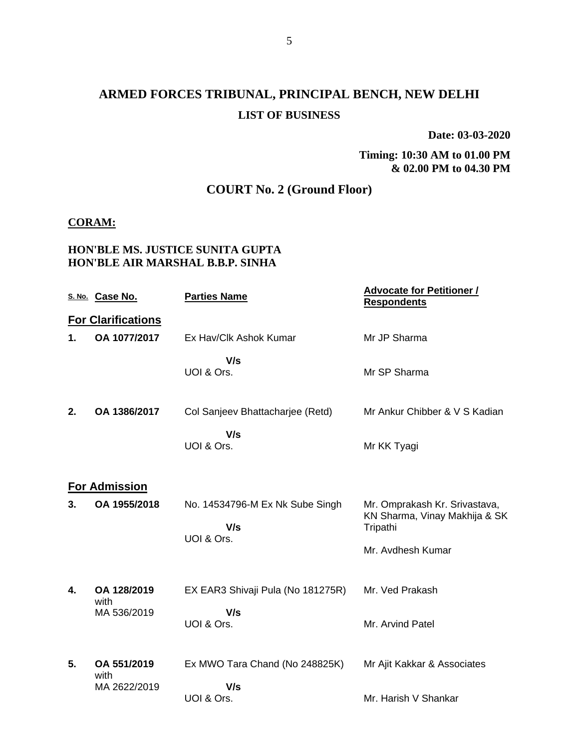## **ARMED FORCES TRIBUNAL, PRINCIPAL BENCH, NEW DELHI LIST OF BUSINESS**

**Date: 03-03-2020**

**Timing: 10:30 AM to 01.00 PM & 02.00 PM to 04.30 PM**

## **COURT No. 2 (Ground Floor)**

#### **CORAM:**

### **HON'BLE MS. JUSTICE SUNITA GUPTA HON'BLE AIR MARSHAL B.B.P. SINHA**

|    | S. No. Case No.           | <b>Parties Name</b>                    | <b>Advocate for Petitioner /</b><br><b>Respondents</b>                     |
|----|---------------------------|----------------------------------------|----------------------------------------------------------------------------|
|    | <b>For Clarifications</b> |                                        |                                                                            |
| 1. | OA 1077/2017              | Ex Hav/Clk Ashok Kumar                 | Mr JP Sharma                                                               |
|    |                           | V/s<br>UOI & Ors.                      | Mr SP Sharma                                                               |
| 2. | OA 1386/2017              | Col Sanjeev Bhattacharjee (Retd)       | Mr Ankur Chibber & V S Kadian                                              |
|    |                           | V/s<br>UOI & Ors.                      | Mr KK Tyagi                                                                |
|    | <b>For Admission</b>      |                                        |                                                                            |
| 3. | OA 1955/2018              | No. 14534796-M Ex Nk Sube Singh<br>V/s | Mr. Omprakash Kr. Srivastava,<br>KN Sharma, Vinay Makhija & SK<br>Tripathi |
|    |                           | UOI & Ors.                             | Mr. Avdhesh Kumar                                                          |
|    |                           |                                        |                                                                            |
| 4. | OA 128/2019<br>with       | EX EAR3 Shivaji Pula (No 181275R)      | Mr. Ved Prakash                                                            |
|    | MA 536/2019               | V/s<br>UOI & Ors.                      | Mr. Arvind Patel                                                           |
| 5. | OA 551/2019<br>with       | Ex MWO Tara Chand (No 248825K)         | Mr Ajit Kakkar & Associates                                                |
|    | MA 2622/2019              | V/s<br>UOI & Ors.                      | Mr. Harish V Shankar                                                       |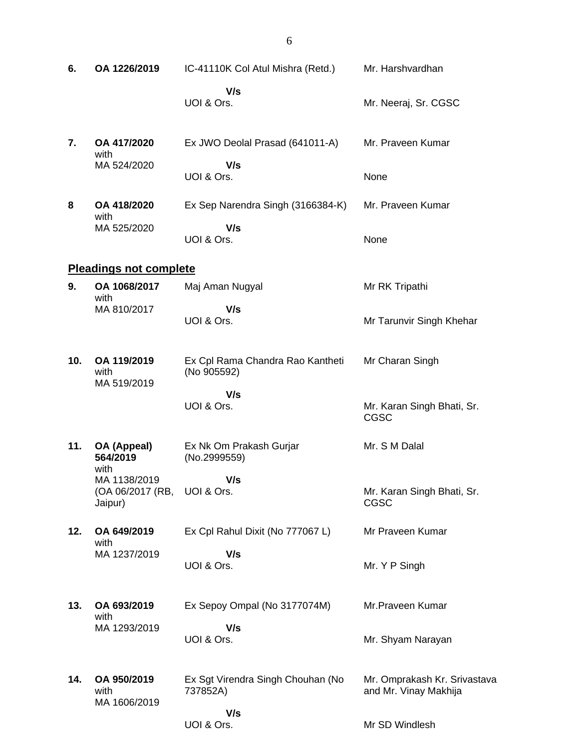| 6.  | OA 1226/2019                                | IC-41110K Col Atul Mishra (Retd.)               | Mr. Harshvardhan                                      |
|-----|---------------------------------------------|-------------------------------------------------|-------------------------------------------------------|
|     |                                             | V/s<br>UOI & Ors.                               | Mr. Neeraj, Sr. CGSC                                  |
| 7.  | OA 417/2020<br>with                         | Ex JWO Deolal Prasad (641011-A)                 | Mr. Praveen Kumar                                     |
|     | MA 524/2020                                 | V/s<br>UOI & Ors.                               | None                                                  |
| 8   | OA 418/2020<br>with                         | Ex Sep Narendra Singh (3166384-K)               | Mr. Praveen Kumar                                     |
|     | MA 525/2020                                 | V/s<br>UOI & Ors.                               | None                                                  |
|     | <b>Pleadings not complete</b>               |                                                 |                                                       |
| 9.  | OA 1068/2017<br>with                        | Maj Aman Nugyal                                 | Mr RK Tripathi                                        |
|     | MA 810/2017                                 | V/s<br>UOI & Ors.                               | Mr Tarunvir Singh Khehar                              |
| 10. | OA 119/2019<br>with<br>MA 519/2019          | Ex Cpl Rama Chandra Rao Kantheti<br>(No 905592) | Mr Charan Singh                                       |
|     |                                             | V/s<br>UOI & Ors.                               | Mr. Karan Singh Bhati, Sr.<br><b>CGSC</b>             |
| 11. | OA (Appeal)<br>564/2019<br>with             | Ex Nk Om Prakash Gurjar<br>(No.2999559)         | Mr. S M Dalal                                         |
|     | MA 1138/2019<br>(OA 06/2017 (RB,<br>Jaipur) | V/s<br>UOI & Ors.                               | Mr. Karan Singh Bhati, Sr.<br><b>CGSC</b>             |
| 12. | OA 649/2019<br>with                         | Ex Cpl Rahul Dixit (No 777067 L)                | Mr Praveen Kumar                                      |
|     | MA 1237/2019                                | V/s<br>UOI & Ors.                               | Mr. Y P Singh                                         |
| 13. | OA 693/2019<br>with                         | Ex Sepoy Ompal (No 3177074M)                    | Mr.Praveen Kumar                                      |
|     | MA 1293/2019                                | V/s<br>UOI & Ors.                               | Mr. Shyam Narayan                                     |
| 14. | OA 950/2019<br>with<br>MA 1606/2019         | Ex Sgt Virendra Singh Chouhan (No<br>737852A)   | Mr. Omprakash Kr. Srivastava<br>and Mr. Vinay Makhija |
|     |                                             | V/s<br>UOI & Ors.                               | Mr SD Windlesh                                        |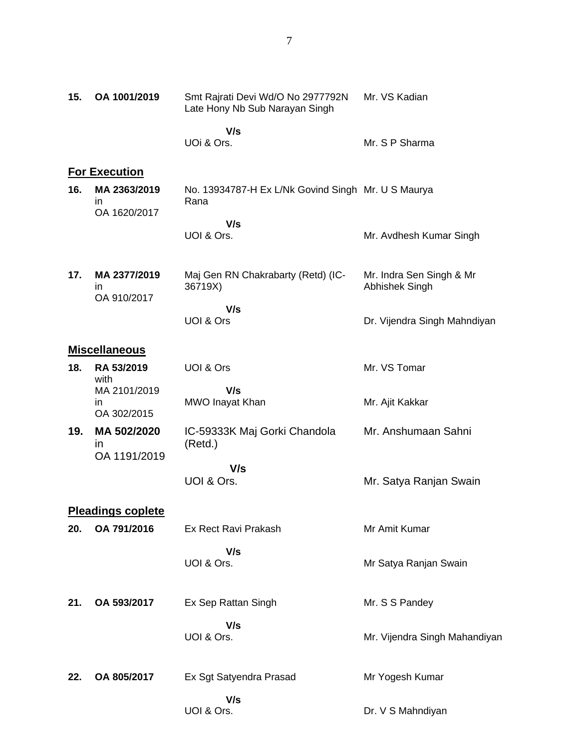| 15. | OA 1001/2019                       | Smt Rajrati Devi Wd/O No 2977792N<br>Late Hony Nb Sub Narayan Singh | Mr. VS Kadian                              |
|-----|------------------------------------|---------------------------------------------------------------------|--------------------------------------------|
|     |                                    | V/s<br>UOi & Ors.                                                   | Mr. S P Sharma                             |
|     | <b>For Execution</b>               |                                                                     |                                            |
| 16. | MA 2363/2019<br>ın<br>OA 1620/2017 | No. 13934787-H Ex L/Nk Govind Singh Mr. U S Maurya<br>Rana          |                                            |
|     |                                    | V/s<br>UOI & Ors.                                                   | Mr. Avdhesh Kumar Singh                    |
| 17. | MA 2377/2019<br>ın<br>OA 910/2017  | Maj Gen RN Chakrabarty (Retd) (IC-<br>36719X)                       | Mr. Indra Sen Singh & Mr<br>Abhishek Singh |
|     |                                    | V/s<br>UOI & Ors                                                    | Dr. Vijendra Singh Mahndiyan               |
|     | <b>Miscellaneous</b>               |                                                                     |                                            |
| 18. | RA 53/2019<br>with                 | UOI & Ors                                                           | Mr. VS Tomar                               |
|     | MA 2101/2019<br>in.<br>OA 302/2015 | V/s<br>MWO Inayat Khan                                              | Mr. Ajit Kakkar                            |
| 19. | MA 502/2020<br>ın<br>OA 1191/2019  | IC-59333K Maj Gorki Chandola<br>(Retd.)                             | Mr. Anshumaan Sahni                        |
|     |                                    | V/s<br>UOI & Ors.                                                   | Mr. Satya Ranjan Swain                     |
|     | <b>Pleadings coplete</b>           |                                                                     |                                            |
| 20. | OA 791/2016                        | Ex Rect Ravi Prakash                                                | Mr Amit Kumar                              |
|     |                                    | V/s<br>UOI & Ors.                                                   | Mr Satya Ranjan Swain                      |
| 21. | OA 593/2017                        | Ex Sep Rattan Singh                                                 | Mr. S S Pandey                             |
|     |                                    | V/s<br>UOI & Ors.                                                   | Mr. Vijendra Singh Mahandiyan              |
| 22. | OA 805/2017                        | Ex Sgt Satyendra Prasad                                             | Mr Yogesh Kumar                            |
|     |                                    | V/s<br>UOI & Ors.                                                   | Dr. V S Mahndiyan                          |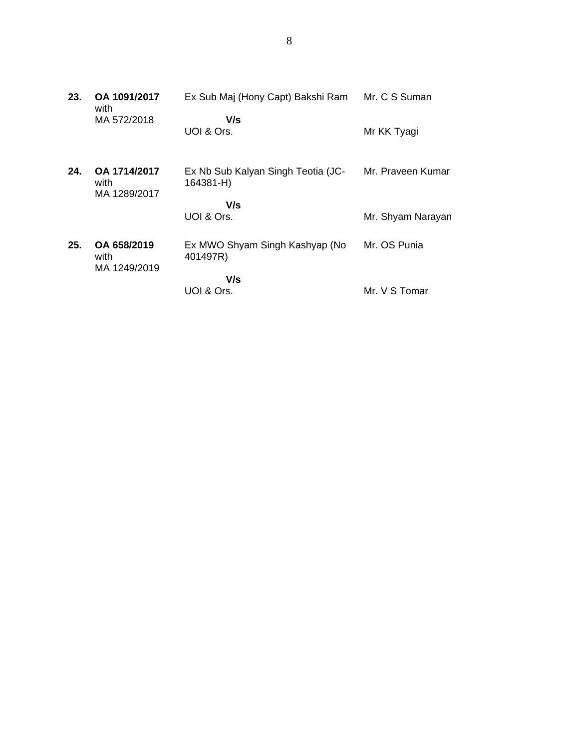| 23. | OA 1091/2017<br>with                 | Ex Sub Maj (Hony Capt) Bakshi Ram               | Mr. C S Suman     |
|-----|--------------------------------------|-------------------------------------------------|-------------------|
|     | MA 572/2018                          | V/s<br>UOI & Ors.                               | Mr KK Tyagi       |
| 24. | OA 1714/2017<br>with<br>MA 1289/2017 | Ex Nb Sub Kalyan Singh Teotia (JC-<br>164381-H) | Mr. Praveen Kumar |
|     |                                      | V/s<br>UOI & Ors.                               | Mr. Shyam Narayan |
| 25. | OA 658/2019<br>with<br>MA 1249/2019  | Ex MWO Shyam Singh Kashyap (No<br>401497R)      | Mr. OS Punia      |
|     |                                      | V/s                                             |                   |
|     |                                      | UOI & Ors.                                      | Mr. V S Tomar     |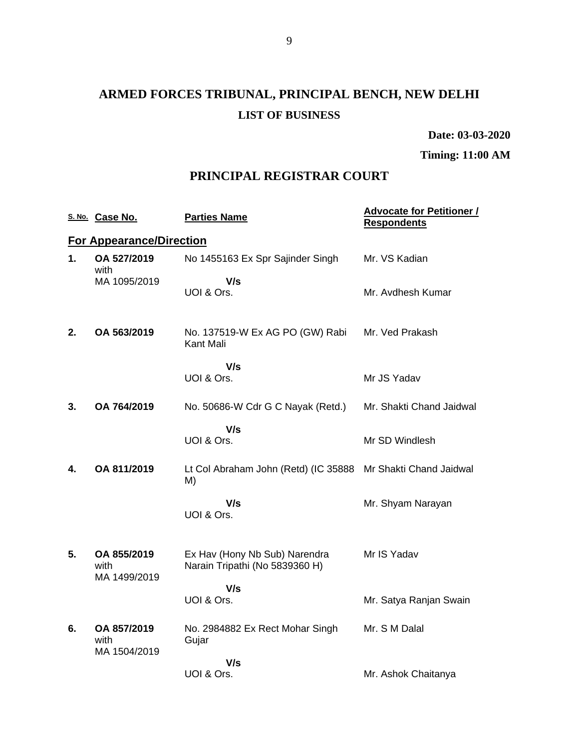# **ARMED FORCES TRIBUNAL, PRINCIPAL BENCH, NEW DELHI LIST OF BUSINESS**

**Date: 03-03-2020**

**Timing: 11:00 AM**

## **PRINCIPAL REGISTRAR COURT**

|    | S. No. Case No.                     | <b>Parties Name</b>                                             | <b>Advocate for Petitioner /</b><br><b>Respondents</b> |
|----|-------------------------------------|-----------------------------------------------------------------|--------------------------------------------------------|
|    | <b>For Appearance/Direction</b>     |                                                                 |                                                        |
| 1. | OA 527/2019<br>with                 | No 1455163 Ex Spr Sajinder Singh                                | Mr. VS Kadian                                          |
|    | MA 1095/2019                        | V/s<br>UOI & Ors.                                               | Mr. Avdhesh Kumar                                      |
| 2. | OA 563/2019                         | No. 137519-W Ex AG PO (GW) Rabi<br>Kant Mali                    | Mr. Ved Prakash                                        |
|    |                                     | V/s<br>UOI & Ors.                                               | Mr JS Yadav                                            |
| 3. | OA 764/2019                         | No. 50686-W Cdr G C Nayak (Retd.)                               | Mr. Shakti Chand Jaidwal                               |
|    |                                     | V/s<br>UOI & Ors.                                               | Mr SD Windlesh                                         |
| 4. | OA 811/2019                         | Lt Col Abraham John (Retd) (IC 35888<br>M)                      | Mr Shakti Chand Jaidwal                                |
|    |                                     | V/s<br>UOI & Ors.                                               | Mr. Shyam Narayan                                      |
| 5. | OA 855/2019<br>with<br>MA 1499/2019 | Ex Hav (Hony Nb Sub) Narendra<br>Narain Tripathi (No 5839360 H) | Mr IS Yadav                                            |
|    |                                     | V/s<br>UOI & Ors.                                               | Mr. Satya Ranjan Swain                                 |
| 6. | OA 857/2019<br>with<br>MA 1504/2019 | No. 2984882 Ex Rect Mohar Singh<br>Gujar                        | Mr. S M Dalal                                          |
|    |                                     | V/s<br>UOI & Ors.                                               | Mr. Ashok Chaitanya                                    |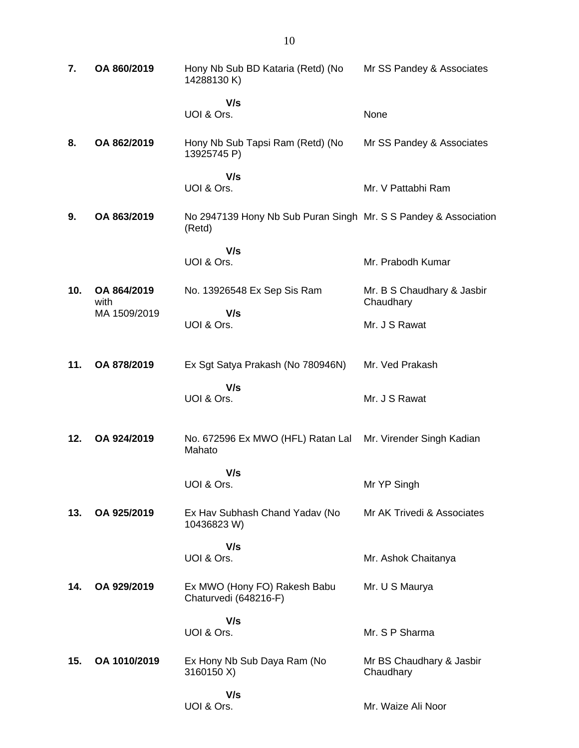| 7.  | OA 860/2019         | Hony Nb Sub BD Kataria (Retd) (No<br>14288130K)                           | Mr SS Pandey & Associates               |
|-----|---------------------|---------------------------------------------------------------------------|-----------------------------------------|
|     |                     | V/s<br>UOI & Ors.                                                         | None                                    |
| 8.  | OA 862/2019         | Hony Nb Sub Tapsi Ram (Retd) (No<br>13925745 P)                           | Mr SS Pandey & Associates               |
|     |                     | V/s<br>UOI & Ors.                                                         | Mr. V Pattabhi Ram                      |
| 9.  | OA 863/2019         | No 2947139 Hony Nb Sub Puran Singh Mr. S S Pandey & Association<br>(Retd) |                                         |
|     |                     | V/s<br>UOI & Ors.                                                         | Mr. Prabodh Kumar                       |
| 10. | OA 864/2019<br>with | No. 13926548 Ex Sep Sis Ram                                               | Mr. B S Chaudhary & Jasbir<br>Chaudhary |
|     | MA 1509/2019        | V/s<br>UOI & Ors.                                                         | Mr. J S Rawat                           |
| 11. | OA 878/2019         | Ex Sgt Satya Prakash (No 780946N)                                         | Mr. Ved Prakash                         |
|     |                     | V/s<br>UOI & Ors.                                                         | Mr. J S Rawat                           |
| 12. | OA 924/2019         | No. 672596 Ex MWO (HFL) Ratan Lal<br>Mahato                               | Mr. Virender Singh Kadian               |
|     |                     | V/s<br>UOI & Ors.                                                         | Mr YP Singh                             |
| 13. | OA 925/2019         | Ex Hav Subhash Chand Yadav (No<br>10436823 W)                             | Mr AK Trivedi & Associates              |
|     |                     | V/s<br>UOI & Ors.                                                         | Mr. Ashok Chaitanya                     |
| 14. | OA 929/2019         | Ex MWO (Hony FO) Rakesh Babu<br>Chaturvedi (648216-F)                     | Mr. U S Maurya                          |
|     |                     | V/s<br>UOI & Ors.                                                         | Mr. S P Sharma                          |
| 15. | OA 1010/2019        | Ex Hony Nb Sub Daya Ram (No<br>3160150 X)                                 | Mr BS Chaudhary & Jasbir<br>Chaudhary   |
|     |                     | V/s<br>UOI & Ors.                                                         | Mr. Waize Ali Noor                      |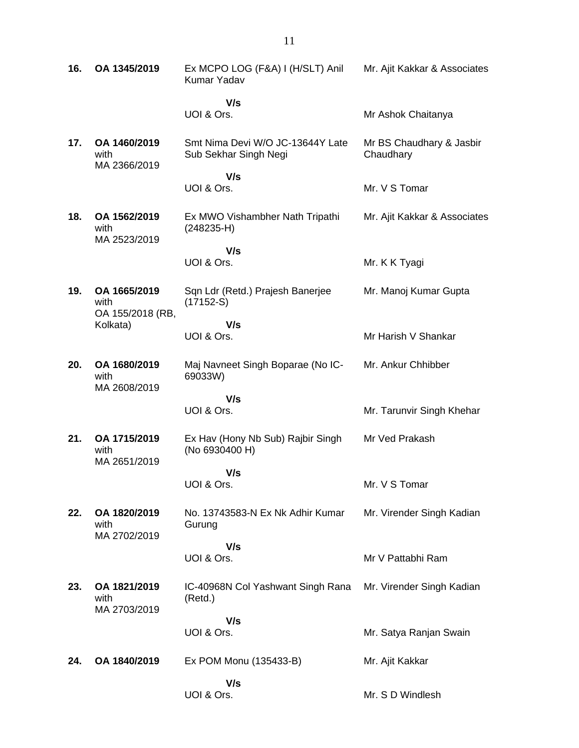| 16. | OA 1345/2019                             | Ex MCPO LOG (F&A) I (H/SLT) Anil<br>Kumar Yadav           | Mr. Ajit Kakkar & Associates          |
|-----|------------------------------------------|-----------------------------------------------------------|---------------------------------------|
|     |                                          | V/s<br>UOI & Ors.                                         | Mr Ashok Chaitanya                    |
| 17. | OA 1460/2019<br>with<br>MA 2366/2019     | Smt Nima Devi W/O JC-13644Y Late<br>Sub Sekhar Singh Negi | Mr BS Chaudhary & Jasbir<br>Chaudhary |
|     |                                          | V/s<br>UOI & Ors.                                         | Mr. V S Tomar                         |
| 18. | OA 1562/2019<br>with<br>MA 2523/2019     | Ex MWO Vishambher Nath Tripathi<br>$(248235-H)$           | Mr. Ajit Kakkar & Associates          |
|     |                                          | V/s<br>UOI & Ors.                                         | Mr. K K Tyagi                         |
| 19. | OA 1665/2019<br>with<br>OA 155/2018 (RB, | Sqn Ldr (Retd.) Prajesh Banerjee<br>$(17152-S)$           | Mr. Manoj Kumar Gupta                 |
|     | Kolkata)                                 | V/s<br>UOI & Ors.                                         | Mr Harish V Shankar                   |
| 20. | OA 1680/2019<br>with<br>MA 2608/2019     | Maj Navneet Singh Boparae (No IC-<br>69033W)              | Mr. Ankur Chhibber                    |
|     |                                          | V/s<br>UOI & Ors.                                         | Mr. Tarunvir Singh Khehar             |
| 21. | OA 1715/2019<br>with<br>MA 2651/2019     | Ex Hav (Hony Nb Sub) Rajbir Singh<br>(No 6930400 H)       | Mr Ved Prakash                        |
|     |                                          | V/s<br>UOI & Ors.                                         | Mr. V S Tomar                         |
| 22. | OA 1820/2019<br>with<br>MA 2702/2019     | No. 13743583-N Ex Nk Adhir Kumar<br>Gurung                | Mr. Virender Singh Kadian             |
|     |                                          | V/s<br>UOI & Ors.                                         | Mr V Pattabhi Ram                     |
| 23. | OA 1821/2019<br>with<br>MA 2703/2019     | IC-40968N Col Yashwant Singh Rana<br>(Retd.)              | Mr. Virender Singh Kadian             |
|     |                                          | V/s<br>UOI & Ors.                                         | Mr. Satya Ranjan Swain                |
| 24. | OA 1840/2019                             | Ex POM Monu (135433-B)                                    | Mr. Ajit Kakkar                       |
|     |                                          | V/s<br>UOI & Ors.                                         | Mr. S D Windlesh                      |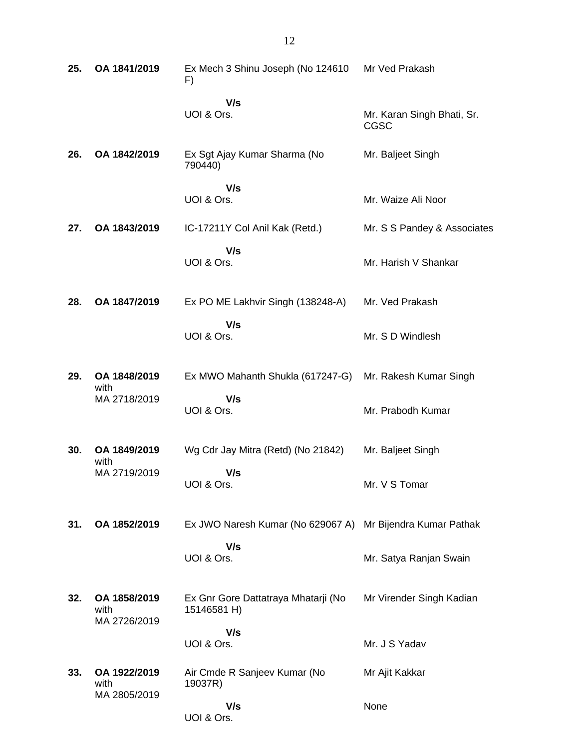| 25. | OA 1841/2019                         | Ex Mech 3 Shinu Joseph (No 124610<br>F)                    | Mr Ved Prakash                            |
|-----|--------------------------------------|------------------------------------------------------------|-------------------------------------------|
|     |                                      | V/s<br>UOI & Ors.                                          | Mr. Karan Singh Bhati, Sr.<br><b>CGSC</b> |
| 26. | OA 1842/2019                         | Ex Sgt Ajay Kumar Sharma (No<br>790440)                    | Mr. Baljeet Singh                         |
|     |                                      | V/s<br>UOI & Ors.                                          | Mr. Waize Ali Noor                        |
| 27. | OA 1843/2019                         | IC-17211Y Col Anil Kak (Retd.)                             | Mr. S S Pandey & Associates               |
|     |                                      | V/s<br>UOI & Ors.                                          | Mr. Harish V Shankar                      |
| 28. | OA 1847/2019                         | Ex PO ME Lakhvir Singh (138248-A)                          | Mr. Ved Prakash                           |
|     |                                      | V/s<br>UOI & Ors.                                          | Mr. S D Windlesh                          |
| 29. | OA 1848/2019<br>with                 | Ex MWO Mahanth Shukla (617247-G)                           | Mr. Rakesh Kumar Singh                    |
|     | MA 2718/2019                         | V/s<br>UOI & Ors.                                          | Mr. Prabodh Kumar                         |
| 30. | OA 1849/2019<br>with                 | Wg Cdr Jay Mitra (Retd) (No 21842)                         | Mr. Baljeet Singh                         |
|     | MA 2719/2019                         | V/s<br>UOI & Ors.                                          | Mr. V S Tomar                             |
| 31. | OA 1852/2019                         | Ex JWO Naresh Kumar (No 629067 A) Mr Bijendra Kumar Pathak |                                           |
|     |                                      | V/s<br>UOI & Ors.                                          | Mr. Satya Ranjan Swain                    |
| 32. | OA 1858/2019<br>with<br>MA 2726/2019 | Ex Gnr Gore Dattatraya Mhatarji (No<br>15146581 H)         | Mr Virender Singh Kadian                  |
|     |                                      | V/s<br>UOI & Ors.                                          | Mr. J S Yadav                             |
| 33. | OA 1922/2019<br>with                 | Air Cmde R Sanjeev Kumar (No<br>19037R)                    | Mr Ajit Kakkar                            |
|     | MA 2805/2019                         | V/s<br>UOI & Ors.                                          | None                                      |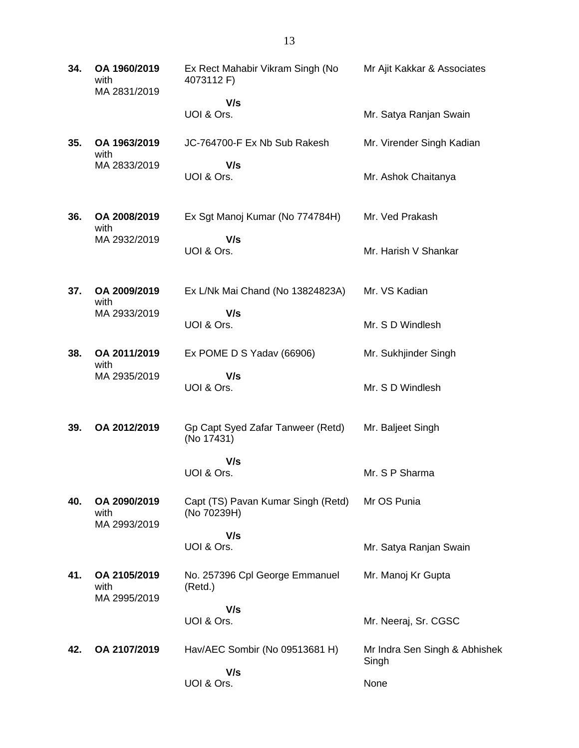**34. OA 1960/2019** with MA 2831/2019 Ex Rect Mahabir Vikram Singh (No 4073112 F)  **V/s** UOI & Ors. Mr Ajit Kakkar & Associates Mr. Satya Ranjan Swain **35. OA 1963/2019** with MA 2833/2019 JC-764700-F Ex Nb Sub Rakesh  **V/s** UOI & Ors. Mr. Virender Singh Kadian Mr. Ashok Chaitanya **36. OA 2008/2019** with MA 2932/2019 Ex Sgt Manoj Kumar (No 774784H)  **V/s** UOI & Ors. Mr. Ved Prakash Mr. Harish V Shankar **37. OA 2009/2019** with MA 2933/2019 Ex L/Nk Mai Chand (No 13824823A)  **V/s** UOI & Ors. Mr. VS Kadian Mr. S D Windlesh **38. OA 2011/2019** with MA 2935/2019 Ex POME D S Yadav (66906)  **V/s** UOI & Ors. Mr. Sukhjinder Singh Mr. S D Windlesh **39. OA 2012/2019** Gp Capt Syed Zafar Tanweer (Retd) (No 17431)  **V/s** UOI & Ors. Mr. Baljeet Singh Mr. S P Sharma **40. OA 2090/2019** with MA 2993/2019 Capt (TS) Pavan Kumar Singh (Retd) (No 70239H)  **V/s** UOI & Ors. Mr OS Punia Mr. Satya Ranjan Swain **41. OA 2105/2019** with MA 2995/2019 No. 257396 Cpl George Emmanuel (Retd.)  **V/s** UOI & Ors. Mr. Manoj Kr Gupta Mr. Neeraj, Sr. CGSC **42. OA 2107/2019** Hav/AEC Sombir (No 09513681 H)  **V/s** UOI & Ors. Mr Indra Sen Singh & Abhishek Singh None